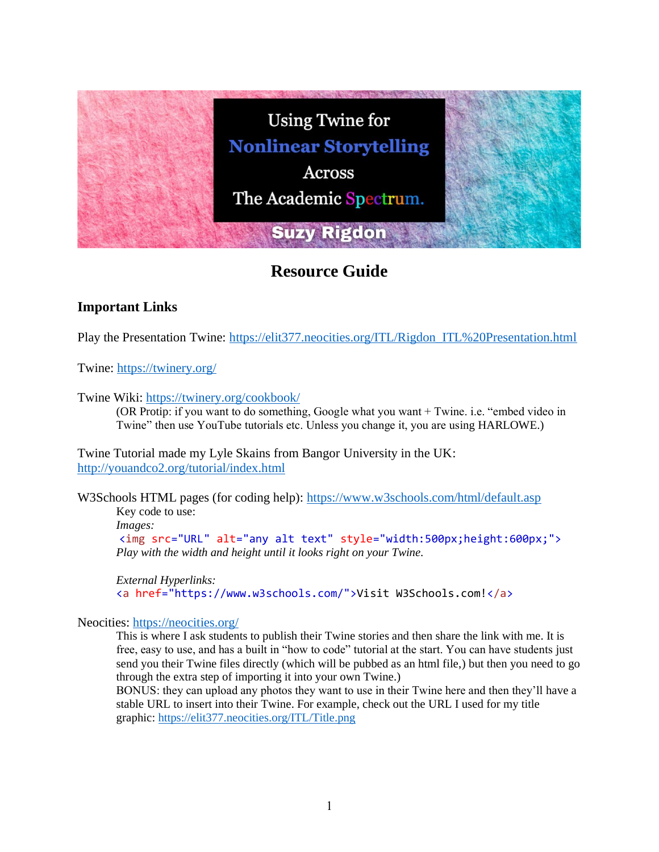

# **Resource Guide**

## **Important Links**

Play the Presentation Twine: [https://elit377.neocities.org/ITL/Rigdon\\_ITL%20Presentation.html](https://elit377.neocities.org/ITL/Rigdon_ITL%20Presentation.html)

Twine:<https://twinery.org/>

Twine Wiki:<https://twinery.org/cookbook/>

(OR Protip: if you want to do something, Google what you want + Twine. i.e. "embed video in Twine" then use YouTube tutorials etc. Unless you change it, you are using HARLOWE.)

Twine Tutorial made my Lyle Skains from Bangor University in the UK: <http://youandco2.org/tutorial/index.html>

W3Schools HTML pages (for coding help):<https://www.w3schools.com/html/default.asp>

Key code to use: *Images:* <img src="URL" alt="any alt text" style="width:500px;height:600px;"> *Play with the width and height until it looks right on your Twine.*

*External Hyperlinks:* <a href="https://www.w3schools.com/">Visit W3Schools.com!</a>

#### Neocities:<https://neocities.org/>

This is where I ask students to publish their Twine stories and then share the link with me. It is free, easy to use, and has a built in "how to code" tutorial at the start. You can have students just send you their Twine files directly (which will be pubbed as an html file,) but then you need to go through the extra step of importing it into your own Twine.)

BONUS: they can upload any photos they want to use in their Twine here and then they'll have a stable URL to insert into their Twine. For example, check out the URL I used for my title graphic:<https://elit377.neocities.org/ITL/Title.png>